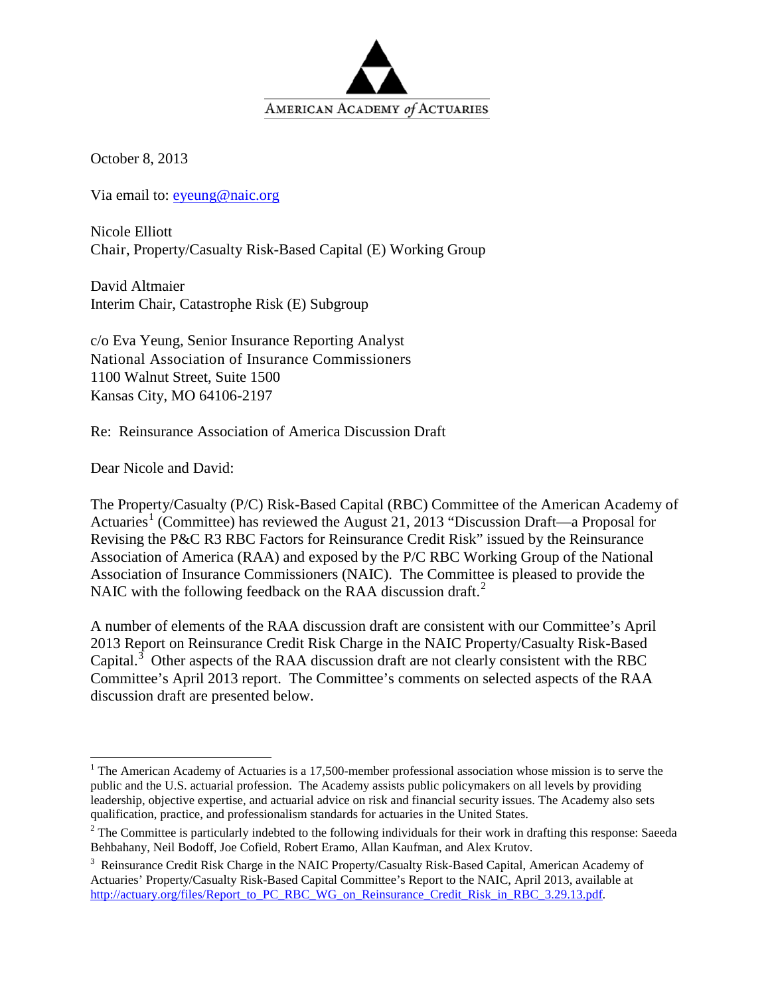

October 8, 2013

Via email to: [eyeung@naic.org](mailto:eyeung@naic.org)

Nicole Elliott Chair, Property/Casualty Risk-Based Capital (E) Working Group

David Altmaier Interim Chair, Catastrophe Risk (E) Subgroup

c/o Eva Yeung, Senior Insurance Reporting Analyst National Association of Insurance Commissioners 1100 Walnut Street, Suite 1500 Kansas City, MO 64106-2197

Re: Reinsurance Association of America Discussion Draft

Dear Nicole and David:

The Property/Casualty (P/C) Risk-Based Capital (RBC) Committee of the American Academy of Actuaries<sup>[1](#page-0-0)</sup> (Committee) has reviewed the August 21, 2013 "Discussion Draft—a Proposal for Revising the P&C R3 RBC Factors for Reinsurance Credit Risk" issued by the Reinsurance Association of America (RAA) and exposed by the P/C RBC Working Group of the National Association of Insurance Commissioners (NAIC). The Committee is pleased to provide the NAIC with the following feedback on the RAA discussion draft.<sup>[2](#page-0-1)</sup>

A number of elements of the RAA discussion draft are consistent with our Committee's April 2013 Report on Reinsurance Credit Risk Charge in the NAIC Property/Casualty Risk-Based Capital.<sup>[3](#page-0-2)</sup> Other aspects of the RAA discussion draft are not clearly consistent with the RBC Committee's April 2013 report. The Committee's comments on selected aspects of the RAA discussion draft are presented below.

<span id="page-0-0"></span><sup>&</sup>lt;sup>1</sup> The American Academy of Actuaries is a 17,500-member professional association whose mission is to serve the public and the U.S. actuarial profession. The Academy assists public policymakers on all levels by providing leadership, objective expertise, and actuarial advice on risk and financial security issues. The Academy also sets qualification, practice, and professionalism standards for actuaries in the United States.

<span id="page-0-1"></span> $2$  The Committee is particularly indebted to the following individuals for their work in drafting this response: Saeeda Behbahany, Neil Bodoff, Joe Cofield, Robert Eramo, Allan Kaufman, and Alex Krutov.

<span id="page-0-2"></span><sup>&</sup>lt;sup>3</sup> Reinsurance Credit Risk Charge in the NAIC Property/Casualty Risk-Based Capital, American Academy of Actuaries' Property/Casualty Risk-Based Capital Committee's Report to the NAIC, April 2013, available at [http://actuary.org/files/Report\\_to\\_PC\\_RBC\\_WG\\_on\\_Reinsurance\\_Credit\\_Risk\\_in\\_RBC\\_3.29.13.pdf.](http://actuary.org/files/Report_to_PC_RBC_WG_on_Reinsurance_Credit_Risk_in_RBC_3.29.13.pdf)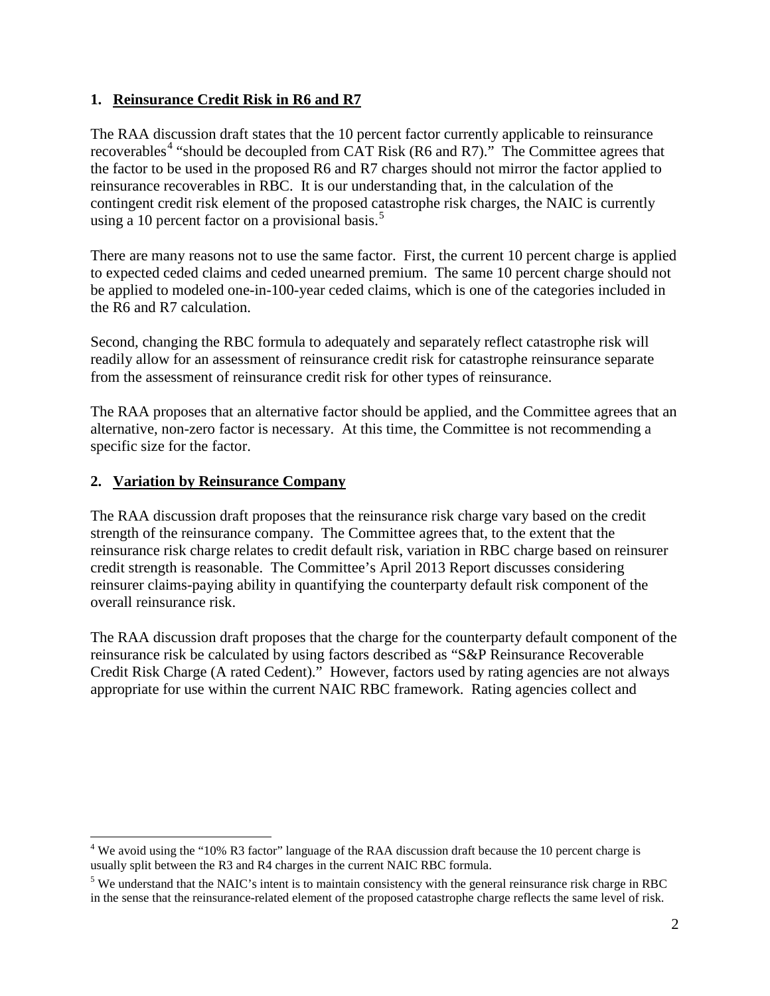## **1. Reinsurance Credit Risk in R6 and R7**

The RAA discussion draft states that the 10 percent factor currently applicable to reinsurance recoverables<sup>[4](#page-1-0)</sup> "should be decoupled from CAT Risk (R6 and R7)." The Committee agrees that the factor to be used in the proposed R6 and R7 charges should not mirror the factor applied to reinsurance recoverables in RBC. It is our understanding that, in the calculation of the contingent credit risk element of the proposed catastrophe risk charges, the NAIC is currently using a 10 percent factor on a provisional basis.<sup>[5](#page-1-1)</sup>

There are many reasons not to use the same factor. First, the current 10 percent charge is applied to expected ceded claims and ceded unearned premium. The same 10 percent charge should not be applied to modeled one-in-100-year ceded claims, which is one of the categories included in the R6 and R7 calculation.

Second, changing the RBC formula to adequately and separately reflect catastrophe risk will readily allow for an assessment of reinsurance credit risk for catastrophe reinsurance separate from the assessment of reinsurance credit risk for other types of reinsurance.

The RAA proposes that an alternative factor should be applied, and the Committee agrees that an alternative, non-zero factor is necessary. At this time, the Committee is not recommending a specific size for the factor.

## **2. Variation by Reinsurance Company**

The RAA discussion draft proposes that the reinsurance risk charge vary based on the credit strength of the reinsurance company. The Committee agrees that, to the extent that the reinsurance risk charge relates to credit default risk, variation in RBC charge based on reinsurer credit strength is reasonable. The Committee's April 2013 Report discusses considering reinsurer claims-paying ability in quantifying the counterparty default risk component of the overall reinsurance risk.

The RAA discussion draft proposes that the charge for the counterparty default component of the reinsurance risk be calculated by using factors described as "S&P Reinsurance Recoverable Credit Risk Charge (A rated Cedent)." However, factors used by rating agencies are not always appropriate for use within the current NAIC RBC framework. Rating agencies collect and

<span id="page-1-0"></span><sup>&</sup>lt;sup>4</sup> We avoid using the "10% R3 factor" language of the RAA discussion draft because the 10 percent charge is usually split between the R3 and R4 charges in the current NAIC RBC formula.

<span id="page-1-1"></span><sup>&</sup>lt;sup>5</sup> We understand that the NAIC's intent is to maintain consistency with the general reinsurance risk charge in RBC in the sense that the reinsurance-related element of the proposed catastrophe charge reflects the same level of risk.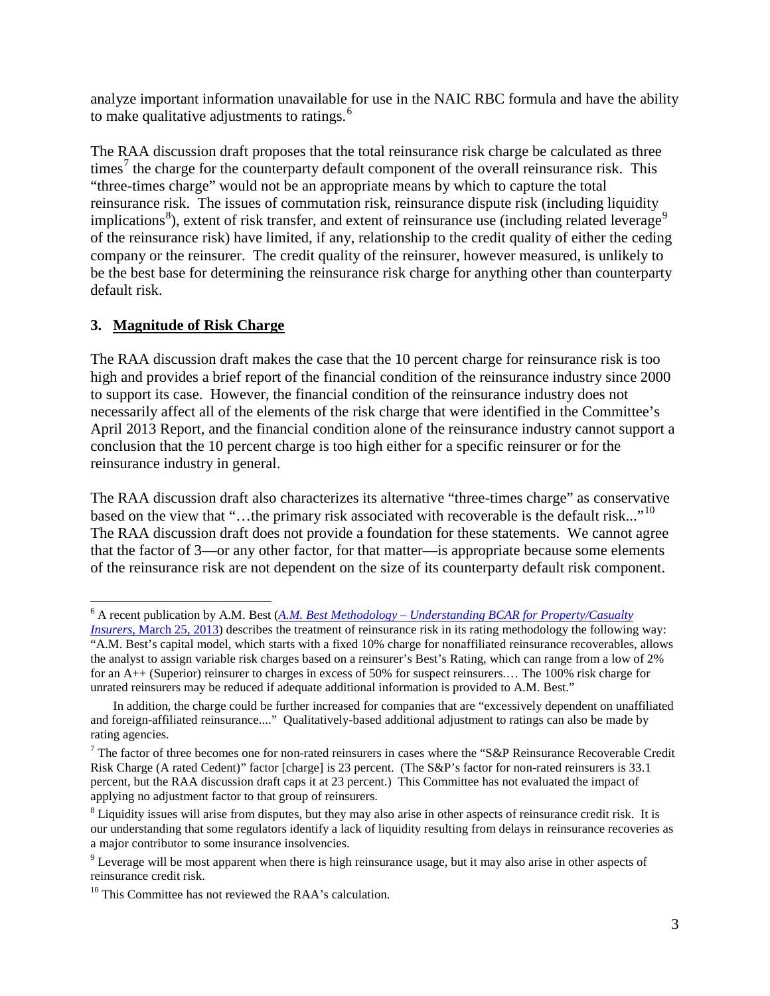analyze important information unavailable for use in the NAIC RBC formula and have the ability to make qualitative adjustments to ratings. $<sup>6</sup>$  $<sup>6</sup>$  $<sup>6</sup>$ </sup>

The RAA discussion draft proposes that the total reinsurance risk charge be calculated as three times<sup>[7](#page-2-1)</sup> the charge for the counterparty default component of the overall reinsurance risk. This "three-times charge" would not be an appropriate means by which to capture the total reinsurance risk. The issues of commutation risk, reinsurance dispute risk (including liquidity implications<sup>[8](#page-2-2)</sup>), extent of risk transfer, and extent of reinsurance use (including related leverage<sup>[9](#page-2-3)</sup> of the reinsurance risk) have limited, if any, relationship to the credit quality of either the ceding company or the reinsurer. The credit quality of the reinsurer, however measured, is unlikely to be the best base for determining the reinsurance risk charge for anything other than counterparty default risk.

## **3. Magnitude of Risk Charge**

The RAA discussion draft makes the case that the 10 percent charge for reinsurance risk is too high and provides a brief report of the financial condition of the reinsurance industry since 2000 to support its case. However, the financial condition of the reinsurance industry does not necessarily affect all of the elements of the risk charge that were identified in the Committee's April 2013 Report, and the financial condition alone of the reinsurance industry cannot support a conclusion that the 10 percent charge is too high either for a specific reinsurer or for the reinsurance industry in general.

The RAA discussion draft also characterizes its alternative "three-times charge" as conservative based on the view that "...the primary risk associated with recoverable is the default risk..."<sup>10</sup> The RAA discussion draft does not provide a foundation for these statements. We cannot agree that the factor of 3—or any other factor, for that matter—is appropriate because some elements of the reinsurance risk are not dependent on the size of its counterparty default risk component.

<span id="page-2-0"></span><sup>6</sup> A recent publication by A.M. Best (*A.M. Best Methodology – [Understanding BCAR for Property/Casualty](http://www3.ambest.com/ambv/ratingmethodology/OpenPDF.aspx?rc=197686)* 

*Insurers*[, March 25, 2013\)](http://www3.ambest.com/ambv/ratingmethodology/OpenPDF.aspx?rc=197686) describes the treatment of reinsurance risk in its rating methodology the following way: "A.M. Best's capital model, which starts with a fixed 10% charge for nonaffiliated reinsurance recoverables, allows the analyst to assign variable risk charges based on a reinsurer's Best's Rating, which can range from a low of 2% for an A++ (Superior) reinsurer to charges in excess of 50% for suspect reinsurers.… The 100% risk charge for unrated reinsurers may be reduced if adequate additional information is provided to A.M. Best."

In addition, the charge could be further increased for companies that are "excessively dependent on unaffiliated and foreign-affiliated reinsurance...." Qualitatively-based additional adjustment to ratings can also be made by rating agencies.

<span id="page-2-1"></span> $7$  The factor of three becomes one for non-rated reinsurers in cases where the "S&P Reinsurance Recoverable Credit Risk Charge (A rated Cedent)" factor [charge] is 23 percent. (The S&P's factor for non-rated reinsurers is 33.1 percent, but the RAA discussion draft caps it at 23 percent.) This Committee has not evaluated the impact of applying no adjustment factor to that group of reinsurers.

<span id="page-2-2"></span><sup>&</sup>lt;sup>8</sup> Liquidity issues will arise from disputes, but they may also arise in other aspects of reinsurance credit risk. It is our understanding that some regulators identify a lack of liquidity resulting from delays in reinsurance recoveries as a major contributor to some insurance insolvencies.

<span id="page-2-3"></span><sup>&</sup>lt;sup>9</sup> Leverage will be most apparent when there is high reinsurance usage, but it may also arise in other aspects of reinsurance credit risk.

<span id="page-2-4"></span> $10$  This Committee has not reviewed the RAA's calculation.